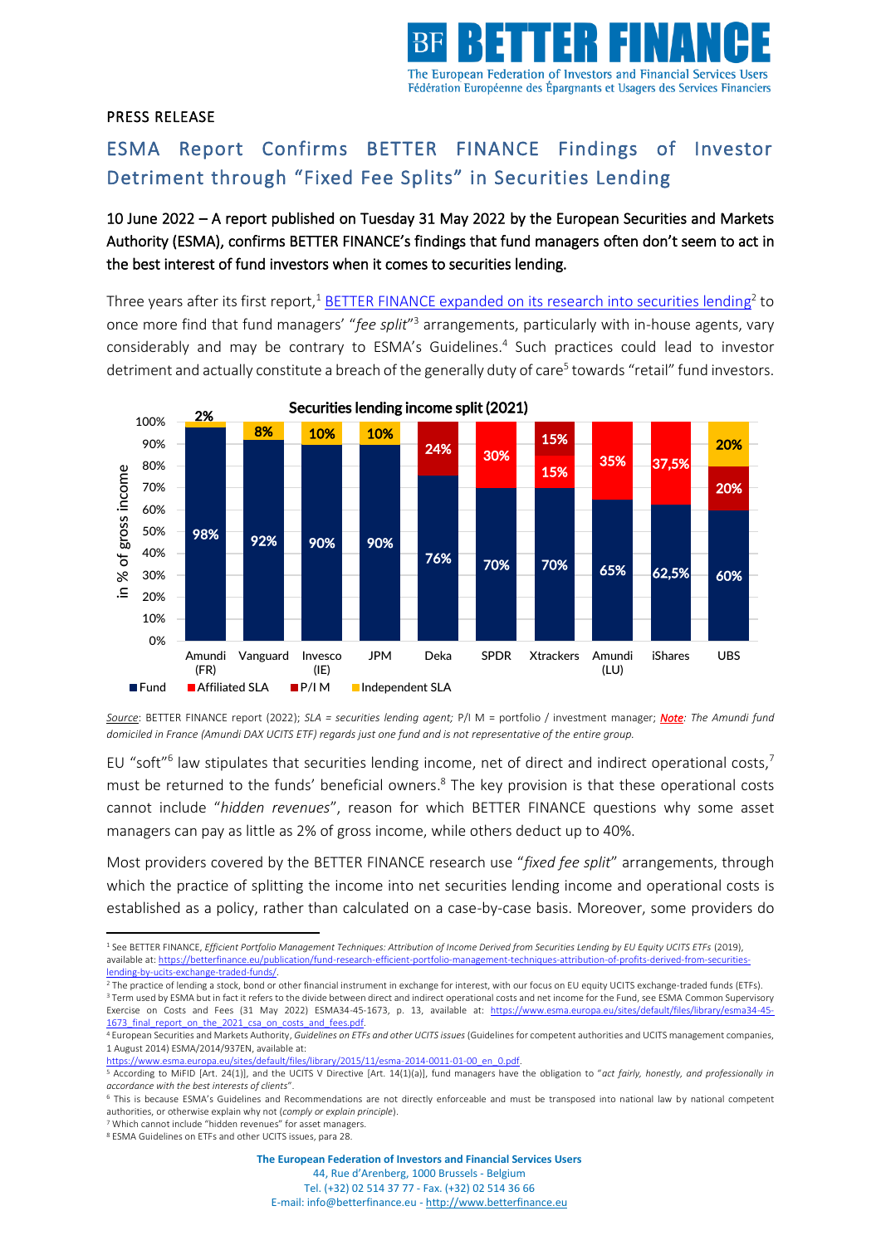

## PRESS RELEASE

## ESMA Report Confirms BETTER FINANCE Findings of Investor Detriment through "Fixed Fee Splits" in Securities Lending

10 June 2022 – A report published on Tuesday 31 May 2022 by the European Securities and Markets Authority (ESMA), confirms BETTER FINANCE's findings that fund managers often don't seem to act in the best interest of fund investors when it comes to securities lending.

Three years after its first report,<sup>1</sup> [BETTER FINANCE expanded on its research into securities lending](https://betterfinance.eu/publication/securities-lending-income-attribution-conflicts-of-interests-in-eu-retail-investment-funds/)<sup>2</sup> to once more find that fund managers' "fee split"<sup>3</sup> arrangements, particularly with in-house agents, vary considerably and may be contrary to ESMA's Guidelines. 4 Such practices could lead to investor detriment and actually constitute a breach of the generally duty of care<sup>5</sup> towards "retail" fund investors.



*Source*: BETTER FINANCE report (2022); *SLA = securities lending agent;* P/I M = portfolio / investment manager; *Note: The Amundi fund domiciled in France (Amundi DAX UCITS ETF) regards just one fund and is not representative of the entire group.*

EU "soft"<sup>6</sup> law stipulates that securities lending income, net of direct and indirect operational costs,<sup>7</sup> must be returned to the funds' beneficial owners.<sup>8</sup> The key provision is that these operational costs cannot include "*hidden revenues*", reason for which BETTER FINANCE questions why some asset managers can pay as little as 2% of gross income, while others deduct up to 40%.

Most providers covered by the BETTER FINANCE research use "*fixed fee split*" arrangements, through which the practice of splitting the income into net securities lending income and operational costs is established as a policy, rather than calculated on a case-by-case basis. Moreover, some providers do

 $\frac{1}{100}$  /sites/default/files/library/2015/11/esma-2014-0011-01-00\_en\_0.pdf

**The European Federation of Investors and Financial Services Users**

<sup>1</sup> See BETTER FINANCE, *Efficient Portfolio Management Techniques: Attribution of Income Derived from Securities Lending by EU Equity UCITS ETFs* (2019), available at[: https://betterfinance.eu/publication/fund-research-efficient-portfolio-management-techniques-attribution-of-profits-derived-from-securities](https://betterfinance.eu/publication/fund-research-efficient-portfolio-management-techniques-attribution-of-profits-derived-from-securities-lending-by-ucits-exchange-traded-funds/)[lending-by-ucits-exchange-traded-funds/.](https://betterfinance.eu/publication/fund-research-efficient-portfolio-management-techniques-attribution-of-profits-derived-from-securities-lending-by-ucits-exchange-traded-funds/) 

<sup>2</sup> The practice of lending a stock, bond or other financial instrument in exchange for interest, with our focus on EU equity UCITS exchange-traded funds (ETFs). <sup>3</sup> Term used by ESMA but in fact it refers to the divide between direct and indirect operational costs and net income for the Fund, see ESMA Common Supervisory Exercise on Costs and Fees (31 May 2022) ESMA34-45-1673, p. 13, available at: [https://www.esma.europa.eu/sites/default/files/library/esma34-45-](https://www.esma.europa.eu/sites/default/files/library/esma34-45-1673_final_report_on_the_2021_csa_on_costs_and_fees.pdf) 1673 final\_report\_on\_the\_2021\_csa\_on\_costs\_and\_fees.pdf.

<sup>4</sup> European Securities and Markets Authority, *Guidelines on ETFs and other UCITS issues* (Guidelines for competent authorities and UCITS management companies, 1 August 2014) ESMA/2014/937EN, available at:

<sup>5</sup> According to MiFID [Art. 24(1)], and the UCITS V Directive [Art. 14(1)(a)], fund managers have the obligation to "act fairly, honestly, and professionally in *accordance with the best interests of clients*".

<sup>6</sup> This is because ESMA's Guidelines and Recommendations are not directly enforceable and must be transposed into national law by national competent authorities, or otherwise explain why not (*comply or explain principle*).

<sup>7</sup> Which cannot include "hidden revenues" for asset managers. <sup>8</sup> ESMA Guidelines on ETFs and other UCITS issues, para 28.